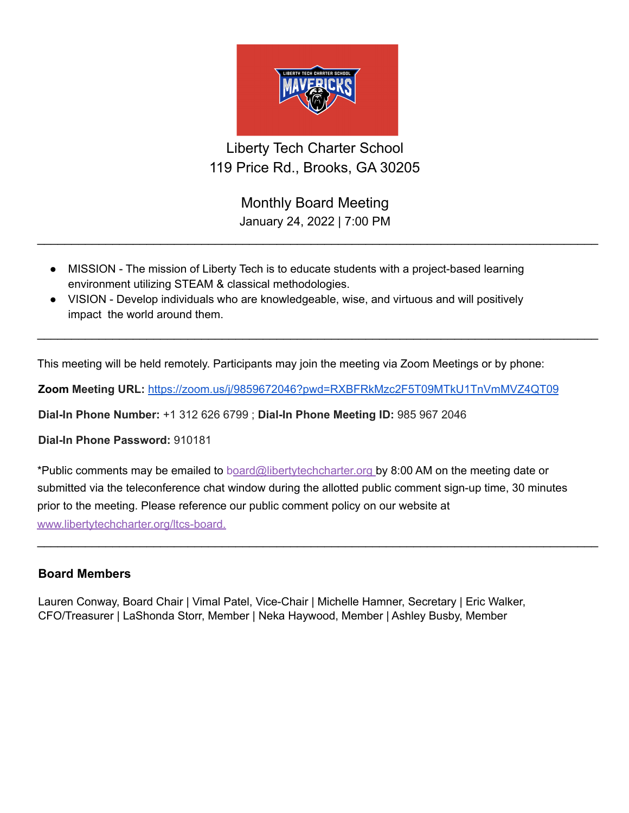

Liberty Tech Charter School 119 Price Rd., Brooks, GA 30205

> Monthly Board Meeting January 24, 2022 | 7:00 PM

 $\_$ 

 $\_$ 

- MISSION The mission of Liberty Tech is to educate students with a project-based learning environment utilizing STEAM & classical methodologies.
- VISION Develop individuals who are knowledgeable, wise, and virtuous and will positively impact the world around them.

This meeting will be held remotely. Participants may join the meeting via Zoom Meetings or by phone:

**Zoom Meeting URL:** <https://zoom.us/j/9859672046?pwd=RXBFRkMzc2F5T09MTkU1TnVmMVZ4QT09>

**Dial-In Phone Number:** +1 312 626 6799 ; **Dial-In Phone Meeting ID:** 985 967 2046

**Dial-In Phone Password:** 910181

\*Public comments may be emailed to board@libertytechcharter.org by 8:00 AM on the meeting date or submitted via the teleconference chat window during the allotted public comment sign-up time, 30 minutes prior to the meeting. Please reference our public comment policy on our website at www.libertytechcharter.org/ltcs-board.

 $\_$ 

## **Board Members**

Lauren Conway, Board Chair | Vimal Patel, Vice-Chair | Michelle Hamner, Secretary | Eric Walker, CFO/Treasurer | LaShonda Storr, Member | Neka Haywood, Member | Ashley Busby, Member